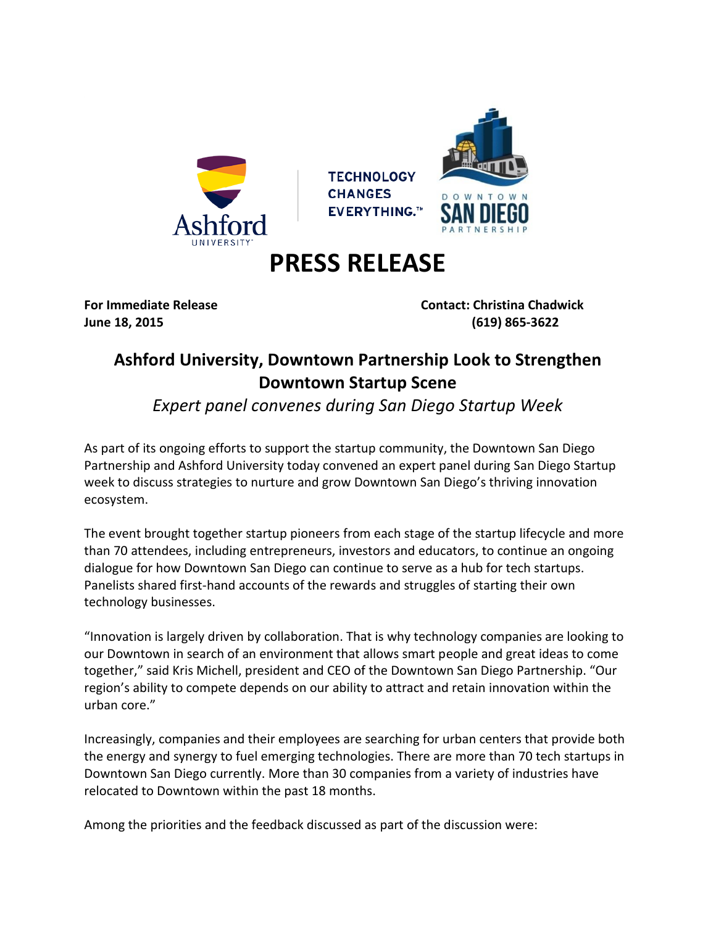



## **PRESS RELEASE**

**For Immediate Release Contact: Christina Chadwick June 18, 2015 (619) 865-3622**

## **Ashford University, Downtown Partnership Look to Strengthen Downtown Startup Scene**

## *Expert panel convenes during San Diego Startup Week*

As part of its ongoing efforts to support the startup community, the Downtown San Diego Partnership and Ashford University today convened an expert panel during San Diego Startup week to discuss strategies to nurture and grow Downtown San Diego's thriving innovation ecosystem.

The event brought together startup pioneers from each stage of the startup lifecycle and more than 70 attendees, including entrepreneurs, investors and educators, to continue an ongoing dialogue for how Downtown San Diego can continue to serve as a hub for tech startups. Panelists shared first-hand accounts of the rewards and struggles of starting their own technology businesses.

"Innovation is largely driven by collaboration. That is why technology companies are looking to our Downtown in search of an environment that allows smart people and great ideas to come together," said Kris Michell, president and CEO of the Downtown San Diego Partnership. "Our region's ability to compete depends on our ability to attract and retain innovation within the urban core."

Increasingly, companies and their employees are searching for urban centers that provide both the energy and synergy to fuel emerging technologies. There are more than 70 tech startups in Downtown San Diego currently. More than 30 companies from a variety of industries have relocated to Downtown within the past 18 months.

Among the priorities and the feedback discussed as part of the discussion were: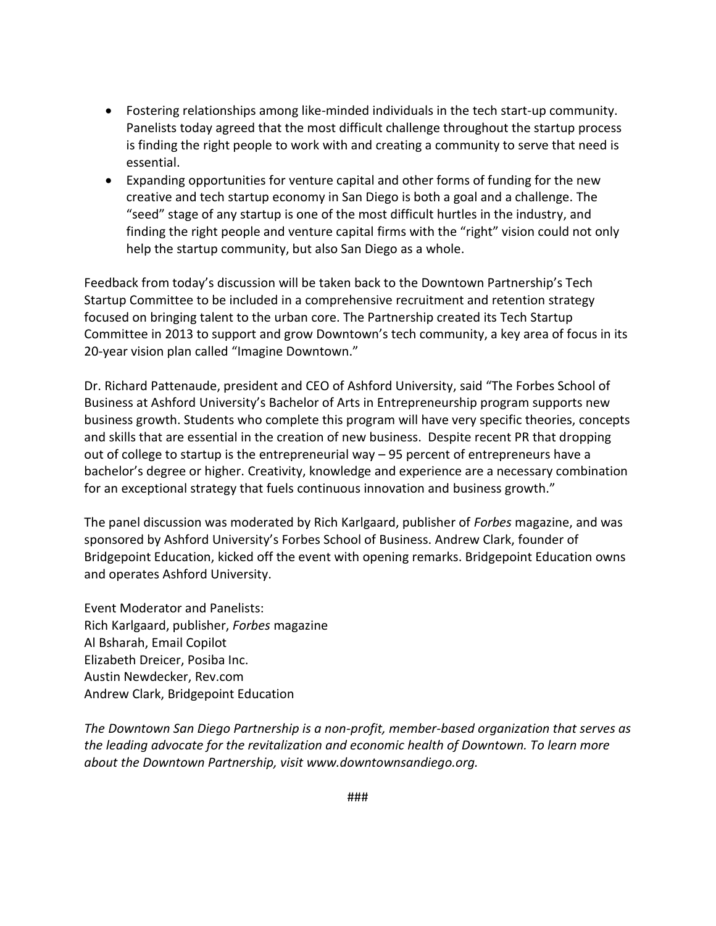- Fostering relationships among like-minded individuals in the tech start-up community. Panelists today agreed that the most difficult challenge throughout the startup process is finding the right people to work with and creating a community to serve that need is essential.
- Expanding opportunities for venture capital and other forms of funding for the new creative and tech startup economy in San Diego is both a goal and a challenge. The "seed" stage of any startup is one of the most difficult hurtles in the industry, and finding the right people and venture capital firms with the "right" vision could not only help the startup community, but also San Diego as a whole.

Feedback from today's discussion will be taken back to the Downtown Partnership's Tech Startup Committee to be included in a comprehensive recruitment and retention strategy focused on bringing talent to the urban core. The Partnership created its Tech Startup Committee in 2013 to support and grow Downtown's tech community, a key area of focus in its 20-year vision plan called "Imagine Downtown."

Dr. Richard Pattenaude, president and CEO of Ashford University, said "The Forbes School of Business at Ashford University's Bachelor of Arts in Entrepreneurship program supports new business growth. Students who complete this program will have very specific theories, concepts and skills that are essential in the creation of new business. Despite recent PR that dropping out of college to startup is the entrepreneurial way – 95 percent of entrepreneurs have a bachelor's degree or higher. Creativity, knowledge and experience are a necessary combination for an exceptional strategy that fuels continuous innovation and business growth."

The panel discussion was moderated by Rich Karlgaard, publisher of *Forbes* magazine, and was sponsored by Ashford University's Forbes School of Business. Andrew Clark, founder of Bridgepoint Education, kicked off the event with opening remarks. Bridgepoint Education owns and operates Ashford University.

Event Moderator and Panelists: Rich Karlgaard, publisher, *Forbes* magazine Al Bsharah, Email Copilot Elizabeth Dreicer, Posiba Inc. Austin Newdecker, Rev.com Andrew Clark, Bridgepoint Education

*The Downtown San Diego Partnership is a non-profit, member-based organization that serves as the leading advocate for the revitalization and economic health of Downtown. To learn more about the Downtown Partnership, visit www.downtownsandiego.org.*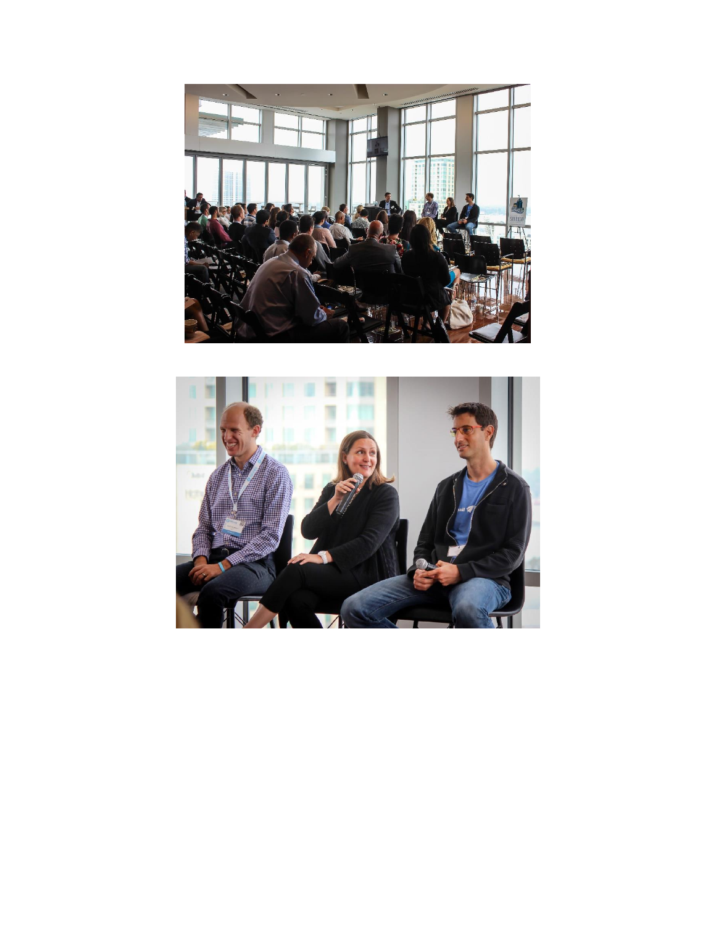